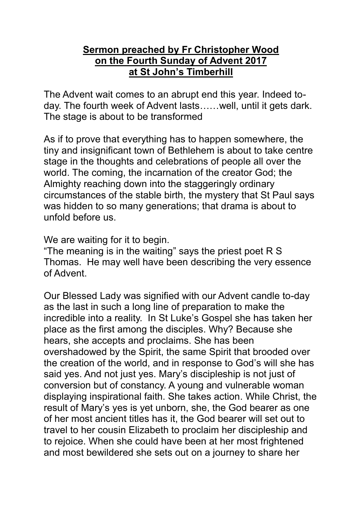## **Sermon preached by Fr Christopher Wood on the Fourth Sunday of Advent 2017 at St John's Timberhill**

The Advent wait comes to an abrupt end this year. Indeed today. The fourth week of Advent lasts……well, until it gets dark. The stage is about to be transformed

As if to prove that everything has to happen somewhere, the tiny and insignificant town of Bethlehem is about to take centre stage in the thoughts and celebrations of people all over the world. The coming, the incarnation of the creator God; the Almighty reaching down into the staggeringly ordinary circumstances of the stable birth, the mystery that St Paul says was hidden to so many generations; that drama is about to unfold before us.

We are waiting for it to begin.

"The meaning is in the waiting" says the priest poet R S Thomas. He may well have been describing the very essence of Advent.

Our Blessed Lady was signified with our Advent candle to-day as the last in such a long line of preparation to make the incredible into a reality. In St Luke's Gospel she has taken her place as the first among the disciples. Why? Because she hears, she accepts and proclaims. She has been overshadowed by the Spirit, the same Spirit that brooded over the creation of the world, and in response to God's will she has said yes. And not just yes. Mary's discipleship is not just of conversion but of constancy. A young and vulnerable woman displaying inspirational faith. She takes action. While Christ, the result of Mary's yes is yet unborn, she, the God bearer as one of her most ancient titles has it, the God bearer will set out to travel to her cousin Elizabeth to proclaim her discipleship and to rejoice. When she could have been at her most frightened and most bewildered she sets out on a journey to share her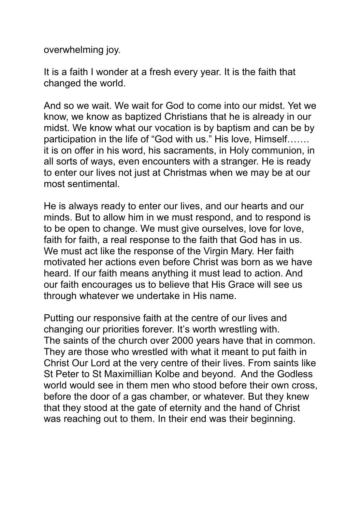overwhelming joy.

It is a faith I wonder at a fresh every year. It is the faith that changed the world.

And so we wait. We wait for God to come into our midst. Yet we know, we know as baptized Christians that he is already in our midst. We know what our vocation is by baptism and can be by participation in the life of "God with us." His love, Himself……. it is on offer in his word, his sacraments, in Holy communion, in all sorts of ways, even encounters with a stranger. He is ready to enter our lives not just at Christmas when we may be at our most sentimental.

He is always ready to enter our lives, and our hearts and our minds. But to allow him in we must respond, and to respond is to be open to change. We must give ourselves, love for love, faith for faith, a real response to the faith that God has in us. We must act like the response of the Virgin Mary. Her faith motivated her actions even before Christ was born as we have heard. If our faith means anything it must lead to action. And our faith encourages us to believe that His Grace will see us through whatever we undertake in His name.

Putting our responsive faith at the centre of our lives and changing our priorities forever. It's worth wrestling with. The saints of the church over 2000 years have that in common. They are those who wrestled with what it meant to put faith in Christ Our Lord at the very centre of their lives. From saints like St Peter to St Maximillian Kolbe and beyond. And the Godless world would see in them men who stood before their own cross, before the door of a gas chamber, or whatever. But they knew that they stood at the gate of eternity and the hand of Christ was reaching out to them. In their end was their beginning.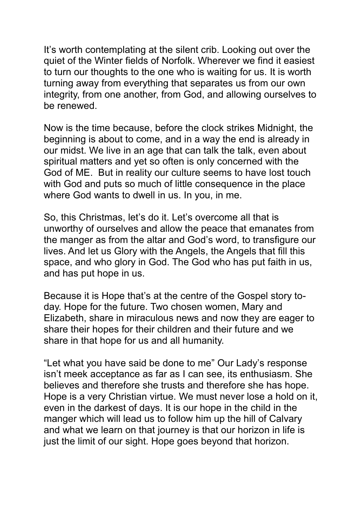It's worth contemplating at the silent crib. Looking out over the quiet of the Winter fields of Norfolk. Wherever we find it easiest to turn our thoughts to the one who is waiting for us. It is worth turning away from everything that separates us from our own integrity, from one another, from God, and allowing ourselves to be renewed.

Now is the time because, before the clock strikes Midnight, the beginning is about to come, and in a way the end is already in our midst. We live in an age that can talk the talk, even about spiritual matters and yet so often is only concerned with the God of ME. But in reality our culture seems to have lost touch with God and puts so much of little consequence in the place where God wants to dwell in us. In you, in me.

So, this Christmas, let's do it. Let's overcome all that is unworthy of ourselves and allow the peace that emanates from the manger as from the altar and God's word, to transfigure our lives. And let us Glory with the Angels, the Angels that fill this space, and who glory in God. The God who has put faith in us, and has put hope in us.

Because it is Hope that's at the centre of the Gospel story today. Hope for the future. Two chosen women, Mary and Elizabeth, share in miraculous news and now they are eager to share their hopes for their children and their future and we share in that hope for us and all humanity.

"Let what you have said be done to me" Our Lady's response isn't meek acceptance as far as I can see, its enthusiasm. She believes and therefore she trusts and therefore she has hope. Hope is a very Christian virtue. We must never lose a hold on it, even in the darkest of days. It is our hope in the child in the manger which will lead us to follow him up the hill of Calvary and what we learn on that journey is that our horizon in life is just the limit of our sight. Hope goes beyond that horizon.